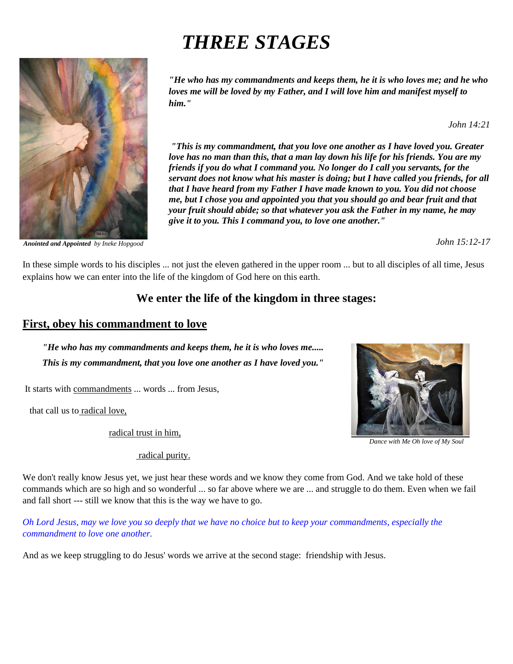# *THREE STAGES*



*Anointed and Appointed by Ineke Hopgood*

*"He who has my commandments and keeps them, he it is who loves me; and he who loves me will be loved by my Father, and I will love him and manifest myself to him."*

 *John 14:21*

*"This is my commandment, that you love one another as I have loved you. Greater love has no man than this, that a man lay down his life for his friends. You are my friends if you do what I command you. No longer do I call you servants, for the servant does not know what his master is doing; but I have called you friends, for all that I have heard from my Father I have made known to you. You did not choose me, but I chose you and appointed you that you should go and bear fruit and that your fruit should abide; so that whatever you ask the Father in my name, he may give it to you. This I command you, to love one another."* 

*John 15:12-17*

In these simple words to his disciples ... not just the eleven gathered in the upper room ... but to all disciples of all time, Jesus explains how we can enter into the life of the kingdom of God here on this earth.

# **We enter the life of the kingdom in three stages:**

## **First, obey his commandment to love**

*"He who has my commandments and keeps them, he it is who loves me..... This is my commandment, that you love one another as I have loved you."*

It starts with commandments ... words ... from Jesus,

that call us to radical love,

radical trust in him,

radical purity.

We don't really know Jesus yet, we just hear these words and we know they come from God. And we take hold of these commands which are so high and so wonderful ... so far above where we are ... and struggle to do them. Even when we fail and fall short --- still we know that this is the way we have to go.

*Oh Lord Jesus, may we love you so deeply that we have no choice but to keep your commandments, especially the commandment to love one another.*

And as we keep struggling to do Jesus' words we arrive at the second stage: friendship with Jesus.



*Dance with Me Oh love of My Soul*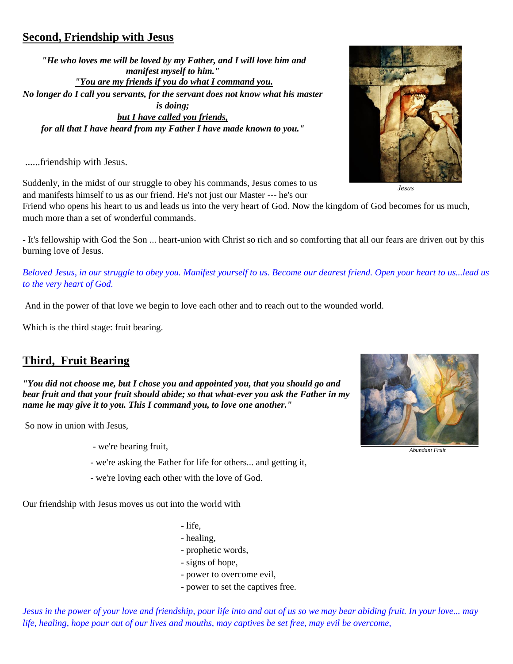## **Second, Friendship with Jesus**

*"He who loves me will be loved by my Father, and I will love him and manifest myself to him." "You are my friends if you do what I command you. No longer do I call you servants, for the servant does not know what his master is doing; but I have called you friends, for all that I have heard from my Father I have made known to you."*

......friendship with Jesus.

Suddenly, in the midst of our struggle to obey his commands, Jesus comes to us and manifests himself to us as our friend. He's not just our Master --- he's our

Friend who opens his heart to us and leads us into the very heart of God. Now the kingdom of God becomes for us much, much more than a set of wonderful commands.

- It's fellowship with God the Son ... heart-union with Christ so rich and so comforting that all our fears are driven out by this burning love of Jesus.

*Beloved Jesus, in our struggle to obey you. Manifest yourself to us. Become our dearest friend. Open your heart to us...lead us to the very heart of God.*

And in the power of that love we begin to love each other and to reach out to the wounded world.

Which is the third stage: fruit bearing.

## **Third, Fruit Bearing**

*"You did not choose me, but I chose you and appointed you, that you should go and bear fruit and that your fruit should abide; so that what-ever you ask the Father in my name he may give it to you. This I command you, to love one another."*

So now in union with Jesus,

- we're bearing fruit,
- we're asking the Father for life for others... and getting it,
- we're loving each other with the love of God.

Our friendship with Jesus moves us out into the world with

- life,
- healing,
- prophetic words,
- signs of hope,
- power to overcome evil,
- power to set the captives free.

*Jesus in the power of your love and friendship, pour life into and out of us so we may bear abiding fruit. In your love... may life, healing, hope pour out of our lives and mouths, may captives be set free, may evil be overcome,* 

*Jesus*



*Abundant Fruit*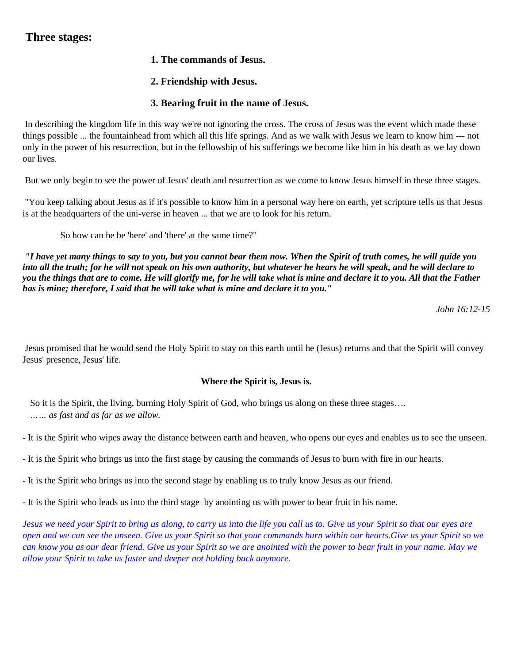## **Three stages:**

- **1. The commands of Jesus.**
- **2. Friendship with Jesus.**

## **3. Bearing fruit in the name of Jesus.**

In describing the kingdom life in this way we're not ignoring the cross. The cross of Jesus was the event which made these things possible ... the fountainhead from which all this life springs. And as we walk with Jesus we learn to know him --- not only in the power of his resurrection, but in the fellowship of his sufferings we become like him in his death as we lay down our lives.

But we only begin to see the power of Jesus' death and resurrection as we come to know Jesus himself in these three stages.

"You keep talking about Jesus as if it's possible to know him in a personal way here on earth, yet scripture tells us that Jesus is at the headquarters of the uni-verse in heaven ... that we are to look for his return.

So how can he be 'here' and 'there' at the same time?"

*"I have yet many things to say to you, but you cannot bear them now. When the Spirit of truth comes, he will guide you into all the truth; for he will not speak on his own authority, but whatever he hears he will speak, and he will declare to you the things that are to come. He will glorify me, for he will take what is mine and declare it to you. All that the Father has is mine; therefore, I said that he will take what is mine and declare it to you."*

 *John 16:12-15*

Jesus promised that he would send the Holy Spirit to stay on this earth until he (Jesus) returns and that the Spirit will convey Jesus' presence, Jesus' life.

### **Where the Spirit is, Jesus is.**

So it is the Spirit, the living, burning Holy Spirit of God, who brings us along on these three stages…. *…… as fast and as far as we allow.*

- It is the Spirit who wipes away the distance between earth and heaven, who opens our eyes and enables us to see the unseen.

- It is the Spirit who brings us into the first stage by causing the commands of Jesus to burn with fire in our hearts.
- It is the Spirit who brings us into the second stage by enabling us to truly know Jesus as our friend.

- It is the Spirit who leads us into the third stage by anointing us with power to bear fruit in his name.

*Jesus we need your Spirit to bring us along, to carry us into the life you call us to. Give us your Spirit so that our eyes are open and we can see the unseen. Give us your Spirit so that your commands burn within our hearts.Give us your Spirit so we can know you as our dear friend. Give us your Spirit so we are anointed with the power to bear fruit in your name. May we allow your Spirit to take us faster and deeper not holding back anymore.*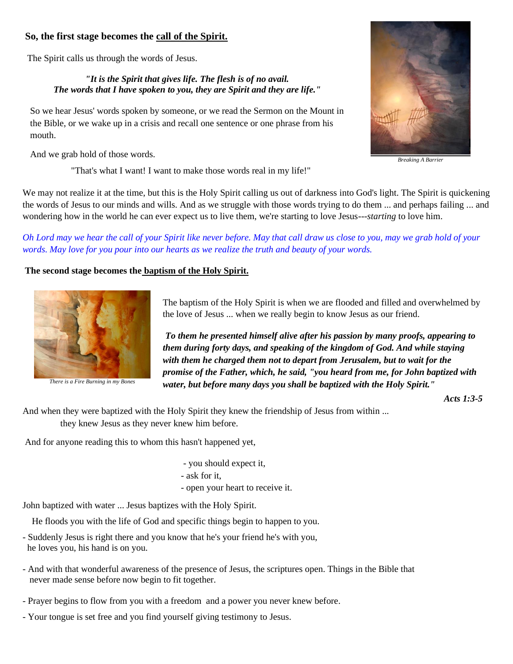## **So, the first stage becomes the call of the Spirit.**

The Spirit calls us through the words of Jesus.

#### *"It is the Spirit that gives life. The flesh is of no avail. The words that I have spoken to you, they are Spirit and they are life."*

So we hear Jesus' words spoken by someone, or we read the Sermon on the Mount in the Bible, or we wake up in a crisis and recall one sentence or one phrase from his mouth.

And we grab hold of those words.

"That's what I want! I want to make those words real in my life!"



*Breaking A Barrier*

We may not realize it at the time, but this is the Holy Spirit calling us out of darkness into God's light. The Spirit is quickening the words of Jesus to our minds and wills. And as we struggle with those words trying to do them ... and perhaps failing ... and wondering how in the world he can ever expect us to live them, we're starting to love Jesus---*starting* to love him.

*Oh Lord may we hear the call of your Spirit like never before. May that call draw us close to you, may we grab hold of your words. May love for you pour into our hearts as we realize the truth and beauty of your words.*

### **The second stage becomes the baptism of the Holy Spirit.**



*There is a Fire Burning in my Bones*

The baptism of the Holy Spirit is when we are flooded and filled and overwhelmed by the love of Jesus ... when we really begin to know Jesus as our friend.

*To them he presented himself alive after his passion by many proofs, appearing to them during forty days, and speaking of the kingdom of God. And while staying with them he charged them not to depart from Jerusalem, but to wait for the promise of the Father, which, he said, "you heard from me, for John baptized with water, but before many days you shall be baptized with the Holy Spirit."* 

*Acts 1:3-5*

And when they were baptized with the Holy Spirit they knew the friendship of Jesus from within ... they knew Jesus as they never knew him before.

And for anyone reading this to whom this hasn't happened yet,

- you should expect it,
- ask for it,
- open your heart to receive it.

John baptized with water ... Jesus baptizes with the Holy Spirit.

He floods you with the life of God and specific things begin to happen to you.

- Suddenly Jesus is right there and you know that he's your friend he's with you, he loves you, his hand is on you.
- And with that wonderful awareness of the presence of Jesus, the scriptures open. Things in the Bible that never made sense before now begin to fit together.
- Prayer begins to flow from you with a freedom and a power you never knew before.
- Your tongue is set free and you find yourself giving testimony to Jesus.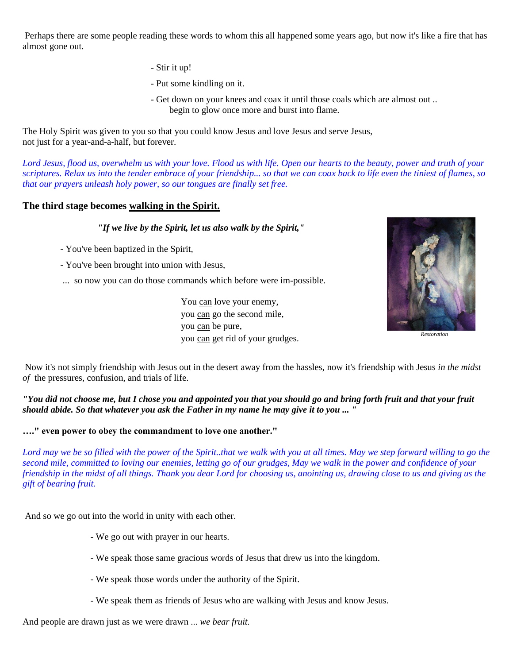Perhaps there are some people reading these words to whom this all happened some years ago, but now it's like a fire that has almost gone out.

- Stir it up!
- Put some kindling on it.
- Get down on your knees and coax it until those coals which are almost out .. begin to glow once more and burst into flame.

The Holy Spirit was given to you so that you could know Jesus and love Jesus and serve Jesus, not just for a year-and-a-half, but forever.

*Lord Jesus, flood us, overwhelm us with your love. Flood us with life. Open our hearts to the beauty, power and truth of your scriptures. Relax us into the tender embrace of your friendship... so that we can coax back to life even the tiniest of flames, so that our prayers unleash holy power, so our tongues are finally set free.*

#### **The third stage becomes walking in the Spirit.**

#### *"If we live by the Spirit, let us also walk by the Spirit,"*

- You've been baptized in the Spirit,
- You've been brought into union with Jesus,
- ... so now you can do those commands which before were im-possible.

You can love your enemy, you can go the second mile, you can be pure, you can get rid of your grudges.



*Restoration*

Now it's not simply friendship with Jesus out in the desert away from the hassles, now it's friendship with Jesus *in the midst of* the pressures, confusion, and trials of life.

*"You did not choose me, but I chose you and appointed you that you should go and bring forth fruit and that your fruit should abide. So that whatever you ask the Father in my name he may give it to you ... "*

**…." even power to obey the commandment to love one another."**

*Lord may we be so filled with the power of the Spirit..that we walk with you at all times. May we step forward willing to go the second mile, committed to loving our enemies, letting go of our grudges, May we walk in the power and confidence of your friendship in the midst of all things. Thank you dear Lord for choosing us, anointing us, drawing close to us and giving us the gift of bearing fruit.*

And so we go out into the world in unity with each other.

- We go out with prayer in our hearts.
- We speak those same gracious words of Jesus that drew us into the kingdom.
- We speak those words under the authority of the Spirit.
- We speak them as friends of Jesus who are walking with Jesus and know Jesus.

And people are drawn just as we were drawn ... *we bear fruit.*